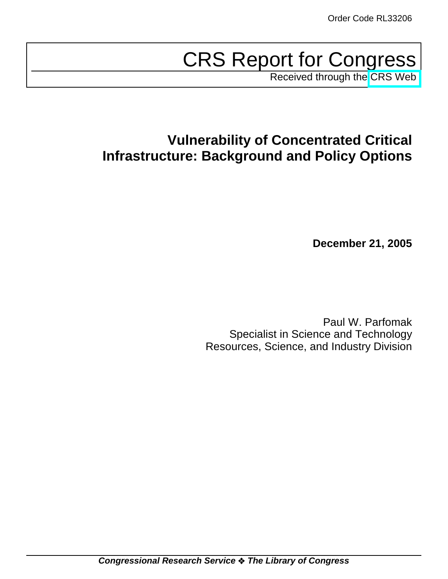# CRS Report for Congress

Received through the [CRS Web](http://www.fas.org/sgp/crs/homesec/index.html)

## **Vulnerability of Concentrated Critical Infrastructure: Background and Policy Options**

**December 21, 2005**

Paul W. Parfomak Specialist in Science and Technology Resources, Science, and Industry Division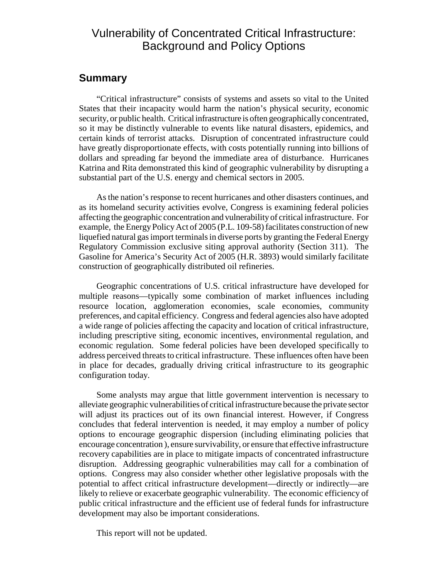## Vulnerability of Concentrated Critical Infrastructure: Background and Policy Options

## **Summary**

"Critical infrastructure" consists of systems and assets so vital to the United States that their incapacity would harm the nation's physical security, economic security, or public health. Critical infrastructure is often geographically concentrated, so it may be distinctly vulnerable to events like natural disasters, epidemics, and certain kinds of terrorist attacks. Disruption of concentrated infrastructure could have greatly disproportionate effects, with costs potentially running into billions of dollars and spreading far beyond the immediate area of disturbance. Hurricanes Katrina and Rita demonstrated this kind of geographic vulnerability by disrupting a substantial part of the U.S. energy and chemical sectors in 2005.

As the nation's response to recent hurricanes and other disasters continues, and as its homeland security activities evolve, Congress is examining federal policies affecting the geographic concentration and vulnerability of critical infrastructure. For example, the Energy Policy Act of 2005 (P.L. 109-58) facilitates construction of new liquefied natural gas import terminals in diverse ports by granting the Federal Energy Regulatory Commission exclusive siting approval authority (Section 311). The Gasoline for America's Security Act of 2005 (H.R. 3893) would similarly facilitate construction of geographically distributed oil refineries.

Geographic concentrations of U.S. critical infrastructure have developed for multiple reasons—typically some combination of market influences including resource location, agglomeration economies, scale economies, community preferences, and capital efficiency. Congress and federal agencies also have adopted a wide range of policies affecting the capacity and location of critical infrastructure, including prescriptive siting, economic incentives, environmental regulation, and economic regulation. Some federal policies have been developed specifically to address perceived threats to critical infrastructure. These influences often have been in place for decades, gradually driving critical infrastructure to its geographic configuration today.

Some analysts may argue that little government intervention is necessary to alleviate geographic vulnerabilities of critical infrastructure because the private sector will adjust its practices out of its own financial interest. However, if Congress concludes that federal intervention is needed, it may employ a number of policy options to encourage geographic dispersion (including eliminating policies that encourage concentration ), ensure survivability, or ensure that effective infrastructure recovery capabilities are in place to mitigate impacts of concentrated infrastructure disruption. Addressing geographic vulnerabilities may call for a combination of options. Congress may also consider whether other legislative proposals with the potential to affect critical infrastructure development—directly or indirectly—are likely to relieve or exacerbate geographic vulnerability. The economic efficiency of public critical infrastructure and the efficient use of federal funds for infrastructure development may also be important considerations.

This report will not be updated.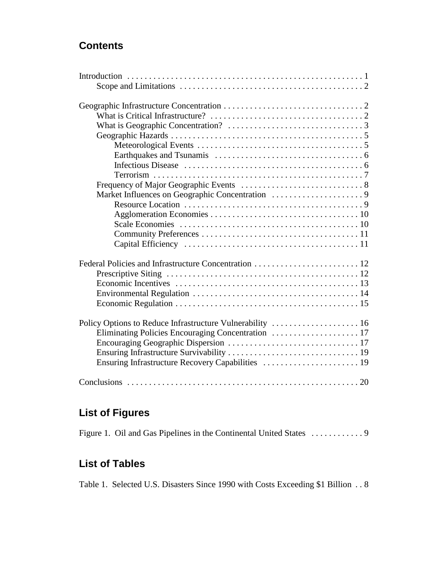## **Contents**

| Policy Options to Reduce Infrastructure Vulnerability  16 |
|-----------------------------------------------------------|
|                                                           |
|                                                           |
|                                                           |
| Ensuring Infrastructure Recovery Capabilities  19         |
|                                                           |
|                                                           |

## **List of Figures**

## **List of Tables**

Table 1. Selected U.S. Disasters Since 1990 with Costs Exceeding \$1 Billion . . 8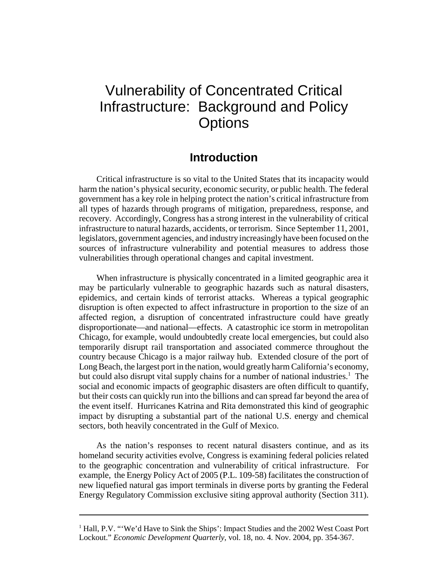## Vulnerability of Concentrated Critical Infrastructure: Background and Policy **Options**

## **Introduction**

Critical infrastructure is so vital to the United States that its incapacity would harm the nation's physical security, economic security, or public health. The federal government has a key role in helping protect the nation's critical infrastructure from all types of hazards through programs of mitigation, preparedness, response, and recovery. Accordingly, Congress has a strong interest in the vulnerability of critical infrastructure to natural hazards, accidents, or terrorism. Since September 11, 2001, legislators, government agencies, and industry increasingly have been focused on the sources of infrastructure vulnerability and potential measures to address those vulnerabilities through operational changes and capital investment.

When infrastructure is physically concentrated in a limited geographic area it may be particularly vulnerable to geographic hazards such as natural disasters, epidemics, and certain kinds of terrorist attacks. Whereas a typical geographic disruption is often expected to affect infrastructure in proportion to the size of an affected region, a disruption of concentrated infrastructure could have greatly disproportionate—and national—effects. A catastrophic ice storm in metropolitan Chicago, for example, would undoubtedly create local emergencies, but could also temporarily disrupt rail transportation and associated commerce throughout the country because Chicago is a major railway hub. Extended closure of the port of Long Beach, the largest port in the nation, would greatly harm California's economy, but could also disrupt vital supply chains for a number of national industries.<sup>1</sup> The social and economic impacts of geographic disasters are often difficult to quantify, but their costs can quickly run into the billions and can spread far beyond the area of the event itself. Hurricanes Katrina and Rita demonstrated this kind of geographic impact by disrupting a substantial part of the national U.S. energy and chemical sectors, both heavily concentrated in the Gulf of Mexico.

As the nation's responses to recent natural disasters continue, and as its homeland security activities evolve, Congress is examining federal policies related to the geographic concentration and vulnerability of critical infrastructure. For example, the Energy Policy Act of 2005 (P.L. 109-58) facilitates the construction of new liquefied natural gas import terminals in diverse ports by granting the Federal Energy Regulatory Commission exclusive siting approval authority (Section 311).

<sup>&</sup>lt;sup>1</sup> Hall, P.V. "'We'd Have to Sink the Ships': Impact Studies and the 2002 West Coast Port Lockout." *Economic Development Quarterly*, vol. 18, no. 4. Nov. 2004, pp. 354-367.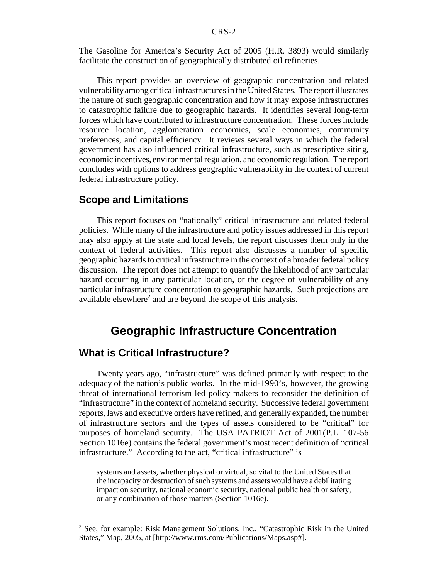The Gasoline for America's Security Act of 2005 (H.R. 3893) would similarly facilitate the construction of geographically distributed oil refineries.

This report provides an overview of geographic concentration and related vulnerability among critical infrastructures in the United States. The report illustrates the nature of such geographic concentration and how it may expose infrastructures to catastrophic failure due to geographic hazards. It identifies several long-term forces which have contributed to infrastructure concentration. These forces include resource location, agglomeration economies, scale economies, community preferences, and capital efficiency. It reviews several ways in which the federal government has also influenced critical infrastructure, such as prescriptive siting, economic incentives, environmental regulation, and economic regulation. The report concludes with options to address geographic vulnerability in the context of current federal infrastructure policy.

### **Scope and Limitations**

This report focuses on "nationally" critical infrastructure and related federal policies. While many of the infrastructure and policy issues addressed in this report may also apply at the state and local levels, the report discusses them only in the context of federal activities. This report also discusses a number of specific geographic hazards to critical infrastructure in the context of a broader federal policy discussion. The report does not attempt to quantify the likelihood of any particular hazard occurring in any particular location, or the degree of vulnerability of any particular infrastructure concentration to geographic hazards. Such projections are available elsewhere<sup>2</sup> and are beyond the scope of this analysis.

## **Geographic Infrastructure Concentration**

## **What is Critical Infrastructure?**

Twenty years ago, "infrastructure" was defined primarily with respect to the adequacy of the nation's public works. In the mid-1990's, however, the growing threat of international terrorism led policy makers to reconsider the definition of "infrastructure" in the context of homeland security. Successive federal government reports, laws and executive orders have refined, and generally expanded, the number of infrastructure sectors and the types of assets considered to be "critical" for purposes of homeland security. The USA PATRIOT Act of 2001(P.L. 107-56 Section 1016e) contains the federal government's most recent definition of "critical infrastructure." According to the act, "critical infrastructure" is

systems and assets, whether physical or virtual, so vital to the United States that the incapacity or destruction of such systems and assets would have a debilitating impact on security, national economic security, national public health or safety, or any combination of those matters (Section 1016e).

<sup>&</sup>lt;sup>2</sup> See, for example: Risk Management Solutions, Inc., "Catastrophic Risk in the United States," Map, 2005, at [http://www.rms.com/Publications/Maps.asp#].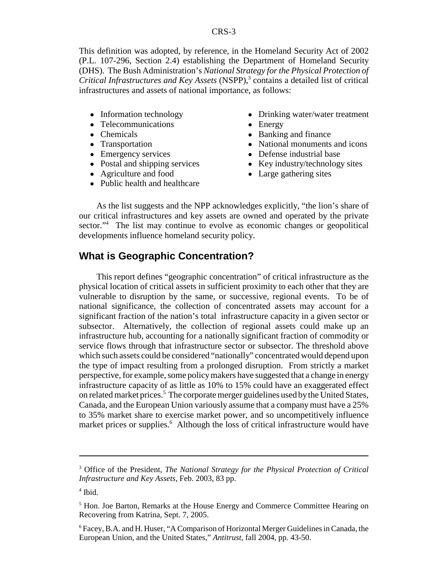This definition was adopted, by reference, in the Homeland Security Act of 2002 (P.L. 107-296, Section 2.4) establishing the Department of Homeland Security (DHS). The Bush Administration's *National Strategy for the Physical Protection of* Critical Infrastructures and Key Assets (NSPP),<sup>3</sup> contains a detailed list of critical infrastructures and assets of national importance, as follows:

- Information technology
- Telecommunications
- Chemicals
- Transportation
- Emergency services
- Postal and shipping services
- Agriculture and food
- Public health and healthcare
- Drinking water/water treatment
- Energy
- Banking and finance
- National monuments and icons
- Defense industrial base
- Key industry/technology sites
- Large gathering sites

As the list suggests and the NPP acknowledges explicitly, "the lion's share of our critical infrastructures and key assets are owned and operated by the private sector."<sup>4</sup> The list may continue to evolve as economic changes or geopolitical developments influence homeland security policy.

#### **What is Geographic Concentration?**

This report defines "geographic concentration" of critical infrastructure as the physical location of critical assets in sufficient proximity to each other that they are vulnerable to disruption by the same, or successive, regional events. To be of national significance, the collection of concentrated assets may account for a significant fraction of the nation's total infrastructure capacity in a given sector or subsector. Alternatively, the collection of regional assets could make up an infrastructure hub, accounting for a nationally significant fraction of commodity or service flows through that infrastructure sector or subsector. The threshold above which such assets could be considered "nationally" concentrated would depend upon the type of impact resulting from a prolonged disruption. From strictly a market perspective, for example, some policy makers have suggested that a change in energy infrastructure capacity of as little as 10% to 15% could have an exaggerated effect on related market prices.<sup>5</sup> The corporate merger guidelines used by the United States, Canada, and the European Union variously assume that a company must have a 25% to 35% market share to exercise market power, and so uncompetitively influence market prices or supplies.<sup>6</sup> Although the loss of critical infrastructure would have

<sup>3</sup> Office of the President, *The National Strategy for the Physical Protection of Critical Infrastructure and Key Assets*, Feb. 2003, 83 pp.

<sup>4</sup> Ibid.

<sup>&</sup>lt;sup>5</sup> Hon. Joe Barton, Remarks at the House Energy and Commerce Committee Hearing on Recovering from Katrina, Sept. 7, 2005.

<sup>&</sup>lt;sup>6</sup> Facey, B.A. and H. Huser, "A Comparison of Horizontal Merger Guidelines in Canada, the European Union, and the United States," *Antitrust*, fall 2004, pp. 43-50.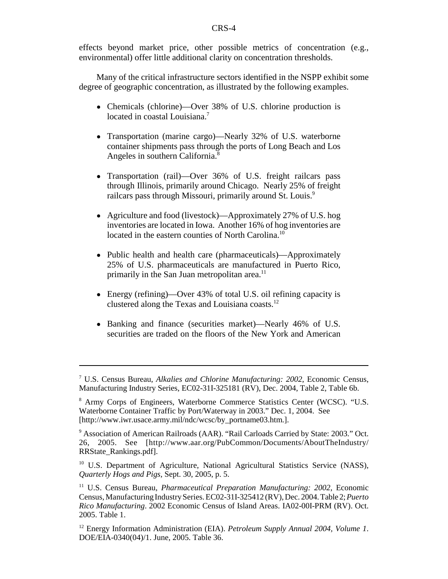effects beyond market price, other possible metrics of concentration (e.g., environmental) offer little additional clarity on concentration thresholds.

Many of the critical infrastructure sectors identified in the NSPP exhibit some degree of geographic concentration, as illustrated by the following examples.

- Chemicals (chlorine)—Over 38% of U.S. chlorine production is located in coastal Louisiana.<sup>7</sup>
- Transportation (marine cargo)—Nearly 32% of U.S. waterborne container shipments pass through the ports of Long Beach and Los Angeles in southern California.8
- Transportation (rail)—Over 36% of U.S. freight railcars pass through Illinois, primarily around Chicago. Nearly 25% of freight railcars pass through Missouri, primarily around St. Louis.<sup>9</sup>
- Agriculture and food (livestock)—Approximately 27% of U.S. hog inventories are located in Iowa. Another 16% of hog inventories are located in the eastern counties of North Carolina.<sup>10</sup>
- ! Public health and health care (pharmaceuticals)—Approximately 25% of U.S. pharmaceuticals are manufactured in Puerto Rico, primarily in the San Juan metropolitan area.<sup>11</sup>
- Energy (refining)—Over 43% of total U.S. oil refining capacity is clustered along the Texas and Louisiana coasts.12
- ! Banking and finance (securities market)—Nearly 46% of U.S. securities are traded on the floors of the New York and American

<sup>7</sup> U.S. Census Bureau, *Alkalies and Chlorine Manufacturing: 2002*, Economic Census, Manufacturing Industry Series, EC02-31I-325181 (RV), Dec. 2004, Table 2, Table 6b.

<sup>8</sup> Army Corps of Engineers, Waterborne Commerce Statistics Center (WCSC). "U.S. Waterborne Container Traffic by Port/Waterway in 2003." Dec. 1, 2004. See [http://www.iwr.usace.army.mil/ndc/wcsc/by\_portname03.htm.].

<sup>&</sup>lt;sup>9</sup> Association of American Railroads (AAR). "Rail Carloads Carried by State: 2003." Oct. 26, 2005. See [http://www.aar.org/PubCommon/Documents/AboutTheIndustry/ RRState\_Rankings.pdf].

<sup>&</sup>lt;sup>10</sup> U.S. Department of Agriculture, National Agricultural Statistics Service (NASS), *Quarterly Hogs and Pigs*, Sept. 30, 2005, p. 5.

<sup>11</sup> U.S. Census Bureau, *Pharmaceutical Preparation Manufacturing: 2002*, Economic Census, Manufacturing Industry Series. EC02-31I-325412 (RV), Dec. 2004. Table 2; *Puerto Rico Manufacturing*. 2002 Economic Census of Island Areas. IA02-00I-PRM (RV). Oct. 2005. Table 1.

<sup>12</sup> Energy Information Administration (EIA). *Petroleum Supply Annual 2004, Volume 1*. DOE/EIA-0340(04)/1. June, 2005. Table 36.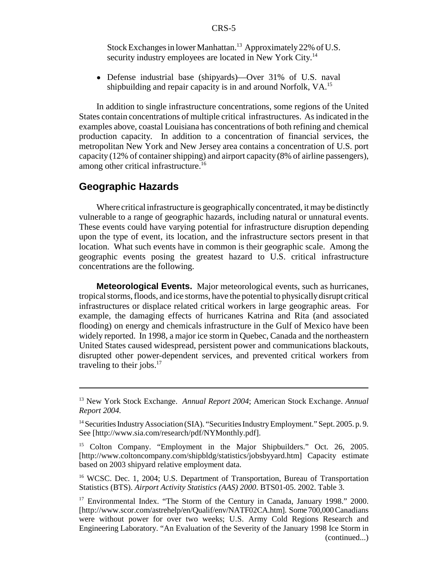Stock Exchanges in lower Manhattan.<sup>13</sup> Approximately 22% of U.S. security industry employees are located in New York City.<sup>14</sup>

! Defense industrial base (shipyards)—Over 31% of U.S. naval shipbuilding and repair capacity is in and around Norfolk, VA.<sup>15</sup>

In addition to single infrastructure concentrations, some regions of the United States contain concentrations of multiple critical infrastructures. As indicated in the examples above, coastal Louisiana has concentrations of both refining and chemical production capacity. In addition to a concentration of financial services, the metropolitan New York and New Jersey area contains a concentration of U.S. port capacity (12% of container shipping) and airport capacity (8% of airline passengers), among other critical infrastructure.<sup>16</sup>

## **Geographic Hazards**

Where critical infrastructure is geographically concentrated, it may be distinctly vulnerable to a range of geographic hazards, including natural or unnatural events. These events could have varying potential for infrastructure disruption depending upon the type of event, its location, and the infrastructure sectors present in that location. What such events have in common is their geographic scale. Among the geographic events posing the greatest hazard to U.S. critical infrastructure concentrations are the following.

**Meteorological Events.** Major meteorological events, such as hurricanes, tropical storms, floods, and ice storms, have the potential to physically disrupt critical infrastructures or displace related critical workers in large geographic areas. For example, the damaging effects of hurricanes Katrina and Rita (and associated flooding) on energy and chemicals infrastructure in the Gulf of Mexico have been widely reported. In 1998, a major ice storm in Quebec, Canada and the northeastern United States caused widespread, persistent power and communications blackouts, disrupted other power-dependent services, and prevented critical workers from traveling to their jobs. $17$ 

<sup>13</sup> New York Stock Exchange. *Annual Report 2004*; American Stock Exchange. *Annual Report 2004.*

<sup>&</sup>lt;sup>14</sup> Securities Industry Association (SIA). "Securities Industry Employment." Sept. 2005. p. 9. See [http://www.sia.com/research/pdf/NYMonthly.pdf].

<sup>&</sup>lt;sup>15</sup> Colton Company. "Employment in the Major Shipbuilders." Oct. 26, 2005. [http://www.coltoncompany.com/shipbldg/statistics/jobsbyyard.htm] Capacity estimate based on 2003 shipyard relative employment data.

<sup>&</sup>lt;sup>16</sup> WCSC. Dec. 1, 2004; U.S. Department of Transportation, Bureau of Transportation Statistics (BTS). *Airport Activity Statistics (AAS) 2000*. BTS01-05. 2002. Table 3.

<sup>&</sup>lt;sup>17</sup> Environmental Index. "The Storm of the Century in Canada, January 1998." 2000. [http://www.scor.com/astrehelp/en/Qualif/env/NATF02CA.htm]. Some 700,000 Canadians were without power for over two weeks; U.S. Army Cold Regions Research and Engineering Laboratory. "An Evaluation of the Severity of the January 1998 Ice Storm in (continued...)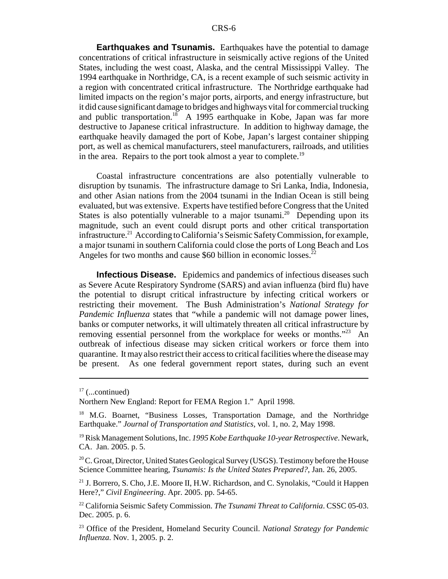**Earthquakes and Tsunamis.** Earthquakes have the potential to damage concentrations of critical infrastructure in seismically active regions of the United States, including the west coast, Alaska, and the central Mississippi Valley. The 1994 earthquake in Northridge, CA, is a recent example of such seismic activity in a region with concentrated critical infrastructure. The Northridge earthquake had limited impacts on the region's major ports, airports, and energy infrastructure, but it did cause significant damage to bridges and highways vital for commercial trucking and public transportation.<sup>18</sup> A 1995 earthquake in Kobe, Japan was far more destructive to Japanese critical infrastructure. In addition to highway damage, the earthquake heavily damaged the port of Kobe, Japan's largest container shipping port, as well as chemical manufacturers, steel manufacturers, railroads, and utilities in the area. Repairs to the port took almost a year to complete.<sup>19</sup>

Coastal infrastructure concentrations are also potentially vulnerable to disruption by tsunamis. The infrastructure damage to Sri Lanka, India, Indonesia, and other Asian nations from the 2004 tsunami in the Indian Ocean is still being evaluated, but was extensive. Experts have testified before Congress that the United States is also potentially vulnerable to a major tsunami.<sup>20</sup> Depending upon its magnitude, such an event could disrupt ports and other critical transportation infrastructure.<sup>21</sup> According to California's Seismic Safety Commission, for example, a major tsunami in southern California could close the ports of Long Beach and Los Angeles for two months and cause \$60 billion in economic losses.<sup>22</sup>

**Infectious Disease.** Epidemics and pandemics of infectious diseases such as Severe Acute Respiratory Syndrome (SARS) and avian influenza (bird flu) have the potential to disrupt critical infrastructure by infecting critical workers or restricting their movement. The Bush Administration's *National Strategy for Pandemic Influenza* states that "while a pandemic will not damage power lines, banks or computer networks, it will ultimately threaten all critical infrastructure by removing essential personnel from the workplace for weeks or months."<sup>23</sup> An outbreak of infectious disease may sicken critical workers or force them into quarantine. It may also restrict their access to critical facilities where the disease may be present. As one federal government report states, during such an event

 $17$  (...continued)

Northern New England: Report for FEMA Region 1." April 1998.

<sup>&</sup>lt;sup>18</sup> M.G. Boarnet, "Business Losses, Transportation Damage, and the Northridge Earthquake." *Journal of Transportation and Statistics*, vol. 1, no. 2, May 1998.

<sup>19</sup> Risk Management Solutions, Inc. *1995 Kobe Earthquake 10-year Retrospective*. Newark, CA. Jan. 2005. p. 5.

<sup>&</sup>lt;sup>20</sup> C. Groat, Director, United States Geological Survey (USGS). Testimony before the House Science Committee hearing, *Tsunamis: Is the United States Prepared?*, Jan. 26, 2005.

<sup>&</sup>lt;sup>21</sup> J. Borrero, S. Cho, J.E. Moore II, H.W. Richardson, and C. Synolakis, "Could it Happen Here?," *Civil Engineering*. Apr. 2005. pp. 54-65.

<sup>22</sup> California Seismic Safety Commission. *The Tsunami Threat to California*. CSSC 05-03. Dec. 2005. p. 6.

<sup>23</sup> Office of the President, Homeland Security Council. *National Strategy for Pandemic Influenza*. Nov. 1, 2005. p. 2.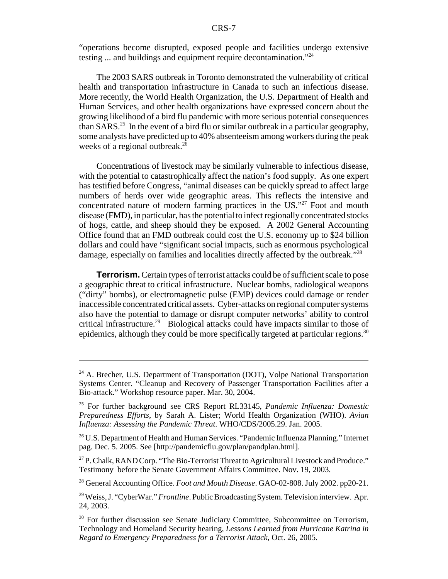"operations become disrupted, exposed people and facilities undergo extensive testing ... and buildings and equipment require decontamination."24

The 2003 SARS outbreak in Toronto demonstrated the vulnerability of critical health and transportation infrastructure in Canada to such an infectious disease. More recently, the World Health Organization, the U.S. Department of Health and Human Services, and other health organizations have expressed concern about the growing likelihood of a bird flu pandemic with more serious potential consequences than  $SARS<sup>25</sup>$  In the event of a bird flu or similar outbreak in a particular geography, some analysts have predicted up to 40% absenteeism among workers during the peak weeks of a regional outbreak.<sup>26</sup>

Concentrations of livestock may be similarly vulnerable to infectious disease, with the potential to catastrophically affect the nation's food supply. As one expert has testified before Congress, "animal diseases can be quickly spread to affect large numbers of herds over wide geographic areas. This reflects the intensive and concentrated nature of modern farming practices in the US."<sup>27</sup> Foot and mouth disease (FMD), in particular, has the potential to infect regionally concentrated stocks of hogs, cattle, and sheep should they be exposed. A 2002 General Accounting Office found that an FMD outbreak could cost the U.S. economy up to \$24 billion dollars and could have "significant social impacts, such as enormous psychological damage, especially on families and localities directly affected by the outbreak."<sup>28</sup>

**Terrorism.** Certain types of terrorist attacks could be of sufficient scale to pose a geographic threat to critical infrastructure. Nuclear bombs, radiological weapons ("dirty" bombs), or electromagnetic pulse (EMP) devices could damage or render inaccessible concentrated critical assets. Cyber-attacks on regional computer systems also have the potential to damage or disrupt computer networks' ability to control critical infrastructure.29 Biological attacks could have impacts similar to those of epidemics, although they could be more specifically targeted at particular regions.<sup>30</sup>

28 General Accounting Office. *Foot and Mouth Disease*. GAO-02-808. July 2002. pp20-21.

<sup>&</sup>lt;sup>24</sup> A. Brecher, U.S. Department of Transportation (DOT), Volpe National Transportation Systems Center. "Cleanup and Recovery of Passenger Transportation Facilities after a Bio-attack." Workshop resource paper. Mar. 30, 2004.

<sup>25</sup> For further background see CRS Report RL33145, *Pandemic Influenza: Domestic Preparedness Efforts*, by Sarah A. Lister; World Health Organization (WHO). *Avian Influenza: Assessing the Pandemic Threat*. WHO/CDS/2005.29. Jan. 2005.

<sup>&</sup>lt;sup>26</sup> U.S. Department of Health and Human Services. "Pandemic Influenza Planning." Internet pag. Dec. 5. 2005. See [http://pandemicflu.gov/plan/pandplan.html].

 $27$  P. Chalk, RAND Corp. "The Bio-Terrorist Threat to Agricultural Livestock and Produce." Testimony before the Senate Government Affairs Committee. Nov. 19, 2003.

<sup>29</sup> Weiss, J. "CyberWar." *Frontline*. Public Broadcasting System. Television interview. Apr. 24, 2003.

<sup>&</sup>lt;sup>30</sup> For further discussion see Senate Judiciary Committee, Subcommittee on Terrorism, Technology and Homeland Security hearing, *Lessons Learned from Hurricane Katrina in Regard to Emergency Preparedness for a Terrorist Attack*, Oct. 26, 2005.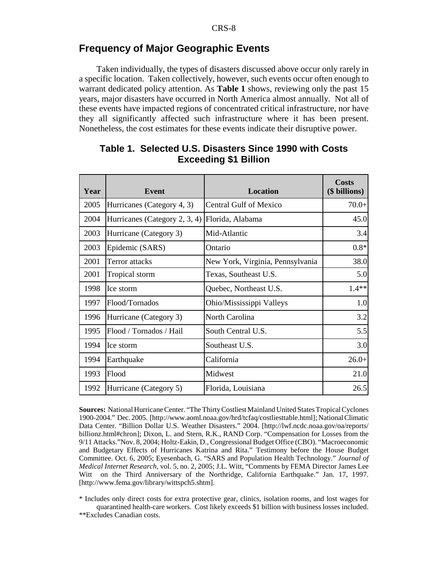## **Frequency of Major Geographic Events**

Taken individually, the types of disasters discussed above occur only rarely in a specific location. Taken collectively, however, such events occur often enough to warrant dedicated policy attention. As **Table 1** shows, reviewing only the past 15 years, major disasters have occurred in North America almost annually. Not all of these events have impacted regions of concentrated critical infrastructure, nor have they all significantly affected such infrastructure where it has been present. Nonetheless, the cost estimates for these events indicate their disruptive power.

| Year | Event                         | <b>Location</b>                  | <b>Costs</b><br>(\$ billions) |
|------|-------------------------------|----------------------------------|-------------------------------|
| 2005 | Hurricanes (Category 4, 3)    | <b>Central Gulf of Mexico</b>    | $70.0+$                       |
| 2004 | Hurricanes (Category 2, 3, 4) | Florida, Alabama                 | 45.0                          |
| 2003 | Hurricane (Category 3)        | Mid-Atlantic                     | 3.4                           |
| 2003 | Epidemic (SARS)               | Ontario                          | $0.8*$                        |
| 2001 | Terror attacks                | New York, Virginia, Pennsylvania | 38.0                          |
| 2001 | Tropical storm                | Texas, Southeast U.S.            | 5.0                           |
| 1998 | Ice storm                     | Quebec, Northeast U.S.           | $1.4**$                       |
| 1997 | Flood/Tornados                | Ohio/Mississippi Valleys         | 1.0                           |
| 1996 | Hurricane (Category 3)        | North Carolina                   | 3.2                           |
| 1995 | Flood / Tornados / Hail       | South Central U.S.               | 5.5                           |
| 1994 | Ice storm                     | Southeast U.S.                   | 3.0                           |
| 1994 | Earthquake                    | California                       | $26.0+$                       |
| 1993 | Flood                         | Midwest                          | 21.0                          |
| 1992 | Hurricane (Category 5)        | Florida, Louisiana               | 26.5                          |

## **Table 1. Selected U.S. Disasters Since 1990 with Costs Exceeding \$1 Billion**

**Sources:** National Hurricane Center. "The Thirty Costliest Mainland United States Tropical Cyclones 1900-2004." Dec. 2005. [http://www.aoml.noaa.gov/hrd/tcfaq/costliesttable.html]; National Climatic Data Center. "Billion Dollar U.S. Weather Disasters." 2004. [http://lwf.ncdc.noaa.gov/oa/reports/ billionz.html#chron]; Dixon, L. and Stern, R.K., RAND Corp. "Compensation for Losses from the 9/11 Attacks."Nov. 8, 2004; Holtz-Eakin, D., Congressional Budget Office (CBO). "Macroeconomic and Budgetary Effects of Hurricanes Katrina and Rita." Testimony before the House Budget Committee. Oct. 6, 2005; Eyesenbach, G. "SARS and Population Health Technology." *Journal of Medical Internet Research*, vol. 5, no. 2, 2005; J.L. Witt, "Comments by FEMA Director James Lee Witt on the Third Anniversary of the Northridge, California Earthquake." Jan. 17, 1997. [http://www.fema.gov/library/wittspch5.shtm].

\* Includes only direct costs for extra protective gear, clinics, isolation rooms, and lost wages for quarantined health-care workers. Cost likely exceeds \$1 billion with business losses included.

\*\*Excludes Canadian costs.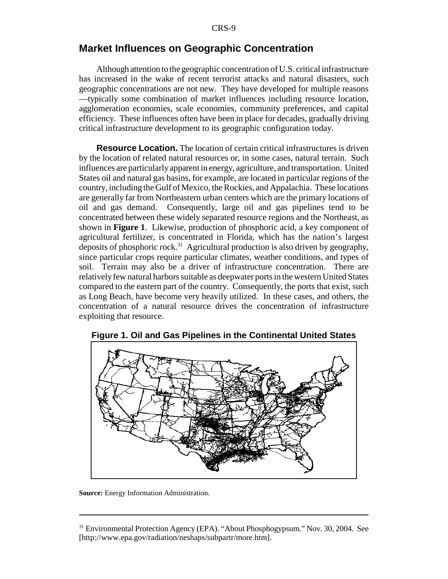### **Market Influences on Geographic Concentration**

Although attention to the geographic concentration of U.S. critical infrastructure has increased in the wake of recent terrorist attacks and natural disasters, such geographic concentrations are not new. They have developed for multiple reasons —typically some combination of market influences including resource location, agglomeration economies, scale economies, community preferences, and capital efficiency. These influences often have been in place for decades, gradually driving critical infrastructure development to its geographic configuration today.

**Resource Location.** The location of certain critical infrastructures is driven by the location of related natural resources or, in some cases, natural terrain. Such influences are particularly apparent in energy, agriculture, and transportation. United States oil and natural gas basins, for example, are located in particular regions of the country, including the Gulf of Mexico, the Rockies, and Appalachia. These locations are generally far from Northeastern urban centers which are the primary locations of oil and gas demand. Consequently, large oil and gas pipelines tend to be concentrated between these widely separated resource regions and the Northeast, as shown in **Figure 1**. Likewise, production of phosphoric acid, a key component of agricultural fertilizer, is concentrated in Florida, which has the nation's largest deposits of phosphoric rock.31 Agricultural production is also driven by geography, since particular crops require particular climates, weather conditions, and types of soil. Terrain may also be a driver of infrastructure concentration. There are relatively few natural harbors suitable as deepwater ports in the western United States compared to the eastern part of the country. Consequently, the ports that exist, such as Long Beach, have become very heavily utilized. In these cases, and others, the concentration of a natural resource drives the concentration of infrastructure exploiting that resource.



**Figure 1. Oil and Gas Pipelines in the Continental United States**

**Source:** Energy Information Administration.

<sup>&</sup>lt;sup>31</sup> Environmental Protection Agency (EPA). "About Phosphogypsum." Nov. 30, 2004. See [http://www.epa.gov/radiation/neshaps/subpartr/more.htm].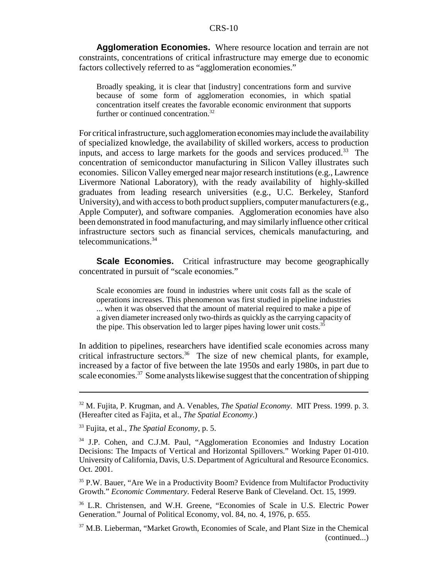**Agglomeration Economies.** Where resource location and terrain are not constraints, concentrations of critical infrastructure may emerge due to economic factors collectively referred to as "agglomeration economies."

Broadly speaking, it is clear that [industry] concentrations form and survive because of some form of agglomeration economies, in which spatial concentration itself creates the favorable economic environment that supports further or continued concentration.<sup>32</sup>

For critical infrastructure, such agglomeration economies may include the availability of specialized knowledge, the availability of skilled workers, access to production inputs, and access to large markets for the goods and services produced.<sup>33</sup> The concentration of semiconductor manufacturing in Silicon Valley illustrates such economies. Silicon Valley emerged near major research institutions (e.g., Lawrence Livermore National Laboratory), with the ready availability of highly-skilled graduates from leading research universities (e.g., U.C. Berkeley, Stanford University), and with access to both product suppliers, computer manufacturers (e.g., Apple Computer), and software companies. Agglomeration economies have also been demonstrated in food manufacturing, and may similarly influence other critical infrastructure sectors such as financial services, chemicals manufacturing, and telecommunications.34

**Scale Economies.** Critical infrastructure may become geographically concentrated in pursuit of "scale economies."

Scale economies are found in industries where unit costs fall as the scale of operations increases. This phenomenon was first studied in pipeline industries ... when it was observed that the amount of material required to make a pipe of a given diameter increased only two-thirds as quickly as the carrying capacity of the pipe. This observation led to larger pipes having lower unit costs.<sup>35</sup>

In addition to pipelines, researchers have identified scale economies across many critical infrastructure sectors.<sup>36</sup> The size of new chemical plants, for example, increased by a factor of five between the late 1950s and early 1980s, in part due to scale economies.<sup>37</sup> Some analysts likewise suggest that the concentration of shipping

<sup>32</sup> M. Fujita, P. Krugman, and A. Venables, *The Spatial Economy*. MIT Press. 1999. p. 3. (Hereafter cited as Fajita, et al., *The Spatial Economy*.)

<sup>33</sup> Fujita, et al., *The Spatial Economy*, p. 5.

<sup>&</sup>lt;sup>34</sup> J.P. Cohen, and C.J.M. Paul, "Agglomeration Economies and Industry Location Decisions: The Impacts of Vertical and Horizontal Spillovers." Working Paper 01-010. University of California, Davis, U.S. Department of Agricultural and Resource Economics. Oct. 2001.

<sup>&</sup>lt;sup>35</sup> P.W. Bauer, "Are We in a Productivity Boom? Evidence from Multifactor Productivity Growth." *Economic Commentary*. Federal Reserve Bank of Cleveland. Oct. 15, 1999.

<sup>36</sup> L.R. Christensen, and W.H. Greene, "Economies of Scale in U.S. Electric Power Generation." Journal of Political Economy, vol. 84, no. 4, 1976, p. 655.

<sup>37</sup> M.B. Lieberman, "Market Growth, Economies of Scale, and Plant Size in the Chemical (continued...)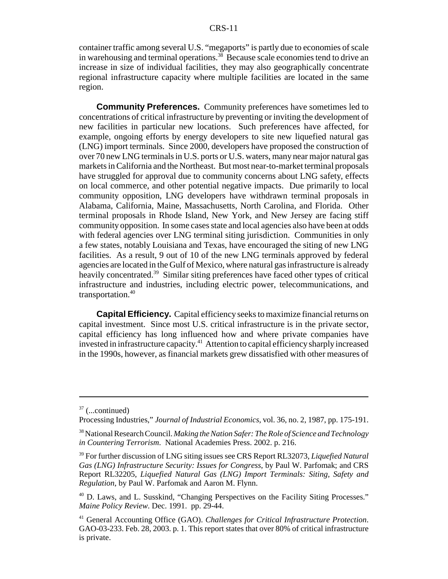container traffic among several U.S. "megaports" is partly due to economies of scale in warehousing and terminal operations.<sup>38</sup> Because scale economies tend to drive an increase in size of individual facilities, they may also geographically concentrate regional infrastructure capacity where multiple facilities are located in the same region.

**Community Preferences.** Community preferences have sometimes led to concentrations of critical infrastructure by preventing or inviting the development of new facilities in particular new locations. Such preferences have affected, for example, ongoing efforts by energy developers to site new liquefied natural gas (LNG) import terminals. Since 2000, developers have proposed the construction of over 70 new LNG terminals in U.S. ports or U.S. waters, many near major natural gas markets in California and the Northeast. But most near-to-market terminal proposals have struggled for approval due to community concerns about LNG safety, effects on local commerce, and other potential negative impacts. Due primarily to local community opposition, LNG developers have withdrawn terminal proposals in Alabama, California, Maine, Massachusetts, North Carolina, and Florida. Other terminal proposals in Rhode Island, New York, and New Jersey are facing stiff community opposition. In some cases state and local agencies also have been at odds with federal agencies over LNG terminal siting jurisdiction. Communities in only a few states, notably Louisiana and Texas, have encouraged the siting of new LNG facilities. As a result, 9 out of 10 of the new LNG terminals approved by federal agencies are located in the Gulf of Mexico, where natural gas infrastructure is already heavily concentrated.<sup>39</sup> Similar siting preferences have faced other types of critical infrastructure and industries, including electric power, telecommunications, and transportation.40

**Capital Efficiency.** Capital efficiency seeks to maximize financial returns on capital investment. Since most U.S. critical infrastructure is in the private sector, capital efficiency has long influenced how and where private companies have invested in infrastructure capacity.41 Attention to capital efficiency sharply increased in the 1990s, however, as financial markets grew dissatisfied with other measures of

 $37$  (...continued)

Processing Industries," *Journal of Industrial Economics*, vol. 36, no. 2, 1987, pp. 175-191.

<sup>38</sup> National Research Council. *Making the Nation Safer: The Role of Science and Technology in Countering Terrorism*. National Academies Press. 2002. p. 216.

<sup>39</sup> For further discussion of LNG siting issues see CRS Report RL32073, *Liquefied Natural Gas (LNG) Infrastructure Security: Issues for Congress*, by Paul W. Parfomak; and CRS Report RL32205, *Liquefied Natural Gas (LNG) Import Terminals: Siting, Safety and Regulation*, by Paul W. Parfomak and Aaron M. Flynn.

<sup>40</sup> D. Laws, and L. Susskind, "Changing Perspectives on the Facility Siting Processes." *Maine Policy Review*. Dec. 1991. pp. 29-44.

<sup>41</sup> General Accounting Office (GAO). *Challenges for Critical Infrastructure Protection*. GAO-03-233. Feb. 28, 2003. p. 1. This report states that over 80% of critical infrastructure is private.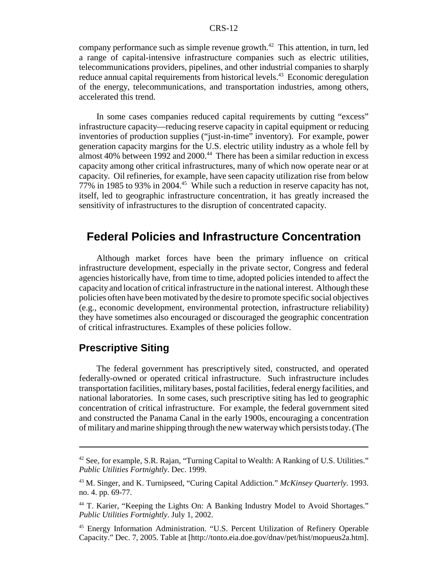company performance such as simple revenue growth.<sup>42</sup> This attention, in turn, led a range of capital-intensive infrastructure companies such as electric utilities, telecommunications providers, pipelines, and other industrial companies to sharply reduce annual capital requirements from historical levels.<sup>43</sup> Economic deregulation of the energy, telecommunications, and transportation industries, among others, accelerated this trend.

In some cases companies reduced capital requirements by cutting "excess" infrastructure capacity—reducing reserve capacity in capital equipment or reducing inventories of production supplies ("just-in-time" inventory). For example, power generation capacity margins for the U.S. electric utility industry as a whole fell by almost 40% between 1992 and 2000.<sup>44</sup> There has been a similar reduction in excess capacity among other critical infrastructures, many of which now operate near or at capacity. Oil refineries, for example, have seen capacity utilization rise from below 77% in 1985 to 93% in 2004.45 While such a reduction in reserve capacity has not, itself, led to geographic infrastructure concentration, it has greatly increased the sensitivity of infrastructures to the disruption of concentrated capacity.

## **Federal Policies and Infrastructure Concentration**

Although market forces have been the primary influence on critical infrastructure development, especially in the private sector, Congress and federal agencies historically have, from time to time, adopted policies intended to affect the capacity and location of critical infrastructure in the national interest. Although these policies often have been motivated by the desire to promote specific social objectives (e.g., economic development, environmental protection, infrastructure reliability) they have sometimes also encouraged or discouraged the geographic concentration of critical infrastructures. Examples of these policies follow.

## **Prescriptive Siting**

The federal government has prescriptively sited, constructed, and operated federally-owned or operated critical infrastructure. Such infrastructure includes transportation facilities, military bases, postal facilities, federal energy facilities, and national laboratories. In some cases, such prescriptive siting has led to geographic concentration of critical infrastructure. For example, the federal government sited and constructed the Panama Canal in the early 1900s, encouraging a concentration of military and marine shipping through the new waterway which persists today. (The

<sup>&</sup>lt;sup>42</sup> See, for example, S.R. Rajan, "Turning Capital to Wealth: A Ranking of U.S. Utilities." *Public Utilities Fortnightly*. Dec. 1999.

<sup>43</sup> M. Singer, and K. Turnipseed, "Curing Capital Addiction." *McKinsey Quarterly.* 1993. no. 4. pp. 69-77.

<sup>&</sup>lt;sup>44</sup> T. Karier, "Keeping the Lights On: A Banking Industry Model to Avoid Shortages." *Public Utilities Fortnightly*. July 1, 2002.

<sup>45</sup> Energy Information Administration. "U.S. Percent Utilization of Refinery Operable Capacity." Dec. 7, 2005. Table at [http://tonto.eia.doe.gov/dnav/pet/hist/mopueus2a.htm].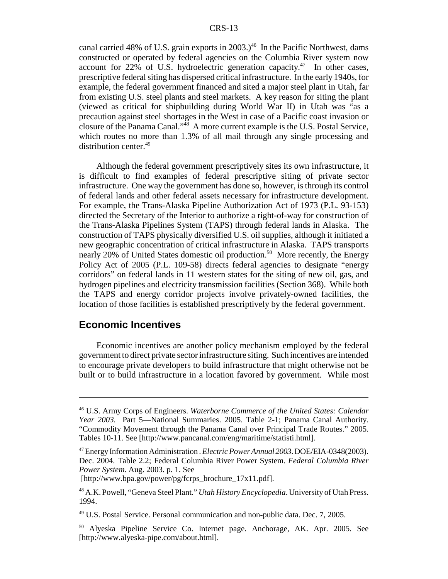canal carried 48% of U.S. grain exports in 2003.)<sup>46</sup> In the Pacific Northwest, dams constructed or operated by federal agencies on the Columbia River system now account for  $22\%$  of U.S. hydroelectric generation capacity.<sup>47</sup> In other cases, prescriptive federal siting has dispersed critical infrastructure. In the early 1940s, for example, the federal government financed and sited a major steel plant in Utah, far from existing U.S. steel plants and steel markets. A key reason for siting the plant (viewed as critical for shipbuilding during World War II) in Utah was "as a precaution against steel shortages in the West in case of a Pacific coast invasion or closure of the Panama Canal."48 A more current example is the U.S. Postal Service, which routes no more than 1.3% of all mail through any single processing and distribution center.<sup>49</sup>

Although the federal government prescriptively sites its own infrastructure, it is difficult to find examples of federal prescriptive siting of private sector infrastructure. One way the government has done so, however, is through its control of federal lands and other federal assets necessary for infrastructure development. For example, the Trans-Alaska Pipeline Authorization Act of 1973 (P.L. 93-153) directed the Secretary of the Interior to authorize a right-of-way for construction of the Trans-Alaska Pipelines System (TAPS) through federal lands in Alaska. The construction of TAPS physically diversified U.S. oil supplies, although it initiated a new geographic concentration of critical infrastructure in Alaska. TAPS transports nearly 20% of United States domestic oil production.<sup>50</sup> More recently, the Energy Policy Act of 2005 (P.L. 109-58) directs federal agencies to designate "energy corridors" on federal lands in 11 western states for the siting of new oil, gas, and hydrogen pipelines and electricity transmission facilities (Section 368). While both the TAPS and energy corridor projects involve privately-owned facilities, the location of those facilities is established prescriptively by the federal government.

## **Economic Incentives**

Economic incentives are another policy mechanism employed by the federal government to direct private sector infrastructure siting. Such incentives are intended to encourage private developers to build infrastructure that might otherwise not be built or to build infrastructure in a location favored by government. While most

<sup>46</sup> U.S. Army Corps of Engineers. *Waterborne Commerce of the United States: Calendar Year 2003.* Part 5—National Summaries. 2005. Table 2-1; Panama Canal Authority. "Commodity Movement through the Panama Canal over Principal Trade Routes." 2005. Tables 10-11. See [http://www.pancanal.com/eng/maritime/statisti.html].

<sup>47</sup> Energy Information Administration . *Electric Power Annual 2003*. DOE/EIA-0348(2003). Dec. 2004. Table 2.2; Federal Columbia River Power System. *Federal Columbia River Power System.* Aug. 2003. p. 1. See

 <sup>[</sup>http://www.bpa.gov/power/pg/fcrps\_brochure\_17x11.pdf].

<sup>48</sup> A.K. Powell, "Geneva Steel Plant." *Utah History Encyclopedia*. University of Utah Press. 1994.

<sup>49</sup> U.S. Postal Service. Personal communication and non-public data. Dec. 7, 2005.

<sup>50</sup> Alyeska Pipeline Service Co. Internet page. Anchorage, AK. Apr. 2005. See [http://www.alyeska-pipe.com/about.html].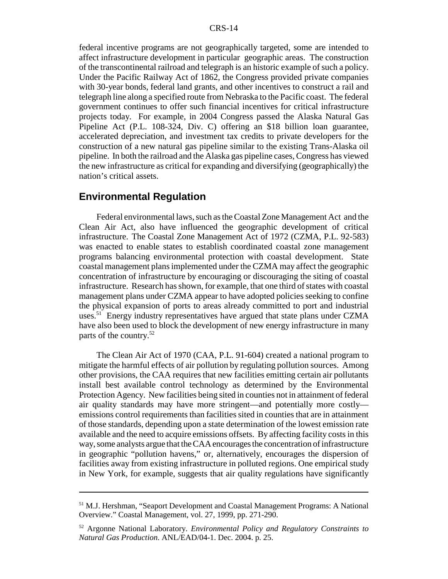federal incentive programs are not geographically targeted, some are intended to affect infrastructure development in particular geographic areas. The construction of the transcontinental railroad and telegraph is an historic example of such a policy. Under the Pacific Railway Act of 1862, the Congress provided private companies with 30-year bonds, federal land grants, and other incentives to construct a rail and telegraph line along a specified route from Nebraska to the Pacific coast. The federal government continues to offer such financial incentives for critical infrastructure projects today. For example, in 2004 Congress passed the Alaska Natural Gas Pipeline Act (P.L. 108-324, Div. C) offering an \$18 billion loan guarantee, accelerated depreciation, and investment tax credits to private developers for the construction of a new natural gas pipeline similar to the existing Trans-Alaska oil pipeline. In both the railroad and the Alaska gas pipeline cases, Congress has viewed the new infrastructure as critical for expanding and diversifying (geographically) the nation's critical assets.

### **Environmental Regulation**

Federal environmental laws, such as the Coastal Zone Management Act and the Clean Air Act, also have influenced the geographic development of critical infrastructure. The Coastal Zone Management Act of 1972 (CZMA, P.L. 92-583) was enacted to enable states to establish coordinated coastal zone management programs balancing environmental protection with coastal development. State coastal management plans implemented under the CZMA may affect the geographic concentration of infrastructure by encouraging or discouraging the siting of coastal infrastructure. Research has shown, for example, that one third of states with coastal management plans under CZMA appear to have adopted policies seeking to confine the physical expansion of ports to areas already committed to port and industrial uses.<sup>51</sup> Energy industry representatives have argued that state plans under CZMA have also been used to block the development of new energy infrastructure in many parts of the country.52

The Clean Air Act of 1970 (CAA, P.L. 91-604) created a national program to mitigate the harmful effects of air pollution by regulating pollution sources. Among other provisions, the CAA requires that new facilities emitting certain air pollutants install best available control technology as determined by the Environmental Protection Agency. New facilities being sited in counties not in attainment of federal air quality standards may have more stringent—and potentially more costly emissions control requirements than facilities sited in counties that are in attainment of those standards, depending upon a state determination of the lowest emission rate available and the need to acquire emissions offsets. By affecting facility costs in this way, some analysts argue that the CAA encourages the concentration of infrastructure in geographic "pollution havens," or, alternatively, encourages the dispersion of facilities away from existing infrastructure in polluted regions. One empirical study in New York, for example, suggests that air quality regulations have significantly

<sup>51</sup> M.J. Hershman, "Seaport Development and Coastal Management Programs: A National Overview." Coastal Management, vol. 27, 1999, pp. 271-290.

<sup>52</sup> Argonne National Laboratory. *Environmental Policy and Regulatory Constraints to Natural Gas Production*. ANL/EAD/04-1. Dec. 2004. p. 25.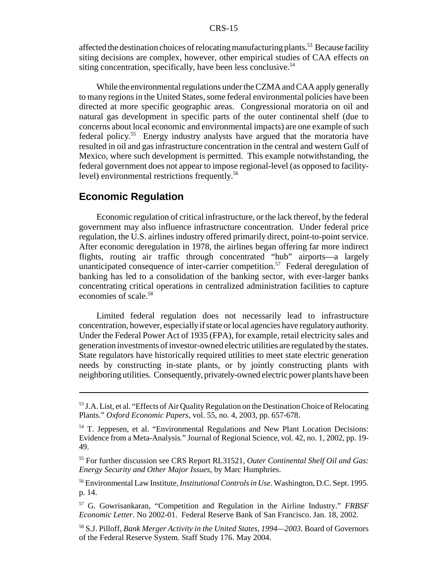affected the destination choices of relocating manufacturing plants.<sup>53</sup> Because facility siting decisions are complex, however, other empirical studies of CAA effects on siting concentration, specifically, have been less conclusive.<sup>54</sup>

While the environmental regulations under the CZMA and CAA apply generally to many regions in the United States, some federal environmental policies have been directed at more specific geographic areas. Congressional moratoria on oil and natural gas development in specific parts of the outer continental shelf (due to concerns about local economic and environmental impacts) are one example of such federal policy.55 Energy industry analysts have argued that the moratoria have resulted in oil and gas infrastructure concentration in the central and western Gulf of Mexico, where such development is permitted. This example notwithstanding, the federal government does not appear to impose regional-level (as opposed to facilitylevel) environmental restrictions frequently.<sup>56</sup>

### **Economic Regulation**

Economic regulation of critical infrastructure, or the lack thereof, by the federal government may also influence infrastructure concentration. Under federal price regulation, the U.S. airlines industry offered primarily direct, point-to-point service. After economic deregulation in 1978, the airlines began offering far more indirect flights, routing air traffic through concentrated "hub" airports—a largely unanticipated consequence of inter-carrier competition.<sup>57</sup> Federal deregulation of banking has led to a consolidation of the banking sector, with ever-larger banks concentrating critical operations in centralized administration facilities to capture economies of scale.58

Limited federal regulation does not necessarily lead to infrastructure concentration, however, especially if state or local agencies have regulatory authority. Under the Federal Power Act of 1935 (FPA), for example, retail electricity sales and generation investments of investor-owned electric utilities are regulated by the states. State regulators have historically required utilities to meet state electric generation needs by constructing in-state plants, or by jointly constructing plants with neighboring utilities. Consequently, privately-owned electric power plants have been

56 Environmental Law Institute, *Institutional Controls in Use*. Washington, D.C. Sept. 1995. p. 14.

<sup>&</sup>lt;sup>53</sup> J.A. List, et al. "Effects of Air Quality Regulation on the Destination Choice of Relocating Plants." *Oxford Economic Papers*, vol. 55, no. 4, 2003, pp. 657-678.

<sup>54</sup> T. Jeppesen, et al. "Environmental Regulations and New Plant Location Decisions: Evidence from a Meta-Analysis." Journal of Regional Science, vol. 42, no. 1, 2002, pp. 19- 49.

<sup>55</sup> For further discussion see CRS Report RL31521, *Outer Continental Shelf Oil and Gas: Energy Security and Other Major Issues*, by Marc Humphries.

<sup>57</sup> G. Gowrisankaran, "Competition and Regulation in the Airline Industry." *FRBSF Economic Letter*. No 2002-01. Federal Reserve Bank of San Francisco. Jan. 18, 2002.

<sup>58</sup> S.J. Pilloff, *Bank Merger Activity in the United States, 1994—2003.* Board of Governors of the Federal Reserve System. Staff Study 176. May 2004.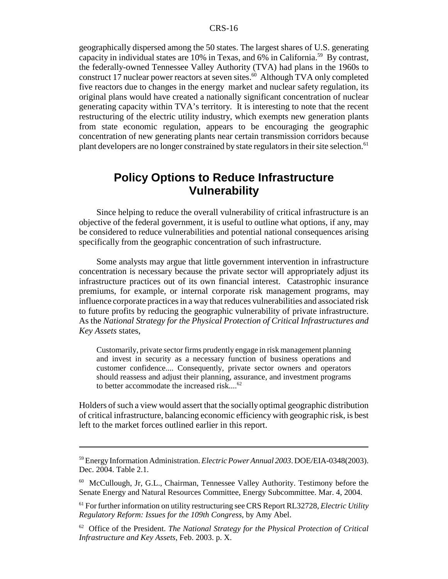geographically dispersed among the 50 states. The largest shares of U.S. generating capacity in individual states are  $10\%$  in Texas, and 6% in California.<sup>59</sup> By contrast, the federally-owned Tennessee Valley Authority (TVA) had plans in the 1960s to construct 17 nuclear power reactors at seven sites.<sup>60</sup> Although TVA only completed five reactors due to changes in the energy market and nuclear safety regulation, its original plans would have created a nationally significant concentration of nuclear generating capacity within TVA's territory. It is interesting to note that the recent restructuring of the electric utility industry, which exempts new generation plants from state economic regulation, appears to be encouraging the geographic concentration of new generating plants near certain transmission corridors because plant developers are no longer constrained by state regulators in their site selection.<sup>61</sup>

## **Policy Options to Reduce Infrastructure Vulnerability**

Since helping to reduce the overall vulnerability of critical infrastructure is an objective of the federal government, it is useful to outline what options, if any, may be considered to reduce vulnerabilities and potential national consequences arising specifically from the geographic concentration of such infrastructure.

Some analysts may argue that little government intervention in infrastructure concentration is necessary because the private sector will appropriately adjust its infrastructure practices out of its own financial interest. Catastrophic insurance premiums, for example, or internal corporate risk management programs, may influence corporate practices in a way that reduces vulnerabilities and associated risk to future profits by reducing the geographic vulnerability of private infrastructure. As the *National Strategy for the Physical Protection of Critical Infrastructures and Key Assets* states,

Customarily, private sector firms prudently engage in risk management planning and invest in security as a necessary function of business operations and customer confidence.... Consequently, private sector owners and operators should reassess and adjust their planning, assurance, and investment programs to better accommodate the increased risk....<sup>62</sup>

Holders of such a view would assert that the socially optimal geographic distribution of critical infrastructure, balancing economic efficiency with geographic risk, is best left to the market forces outlined earlier in this report.

<sup>59</sup> Energy Information Administration. *Electric Power Annual 2003*. DOE/EIA-0348(2003). Dec. 2004. Table 2.1.

<sup>60</sup> McCullough, Jr, G.L., Chairman, Tennessee Valley Authority. Testimony before the Senate Energy and Natural Resources Committee, Energy Subcommittee. Mar. 4, 2004.

<sup>61</sup> For further information on utility restructuring see CRS Report RL32728, *Electric Utility Regulatory Reform: Issues for the 109th Congress*, by Amy Abel.

<sup>62</sup> Office of the President. *The National Strategy for the Physical Protection of Critical Infrastructure and Key Assets*, Feb. 2003. p. X.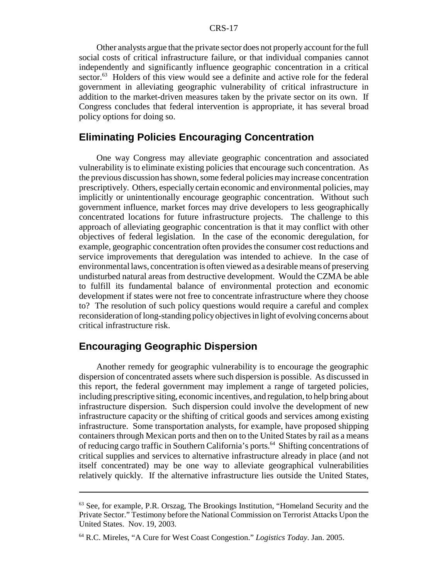Other analysts argue that the private sector does not properly account for the full social costs of critical infrastructure failure, or that individual companies cannot independently and significantly influence geographic concentration in a critical sector.<sup>63</sup> Holders of this view would see a definite and active role for the federal government in alleviating geographic vulnerability of critical infrastructure in addition to the market-driven measures taken by the private sector on its own. If Congress concludes that federal intervention is appropriate, it has several broad policy options for doing so.

## **Eliminating Policies Encouraging Concentration**

One way Congress may alleviate geographic concentration and associated vulnerability is to eliminate existing policies that encourage such concentration. As the previous discussion has shown, some federal policies may increase concentration prescriptively. Others, especially certain economic and environmental policies, may implicitly or unintentionally encourage geographic concentration. Without such government influence, market forces may drive developers to less geographically concentrated locations for future infrastructure projects. The challenge to this approach of alleviating geographic concentration is that it may conflict with other objectives of federal legislation. In the case of the economic deregulation, for example, geographic concentration often provides the consumer cost reductions and service improvements that deregulation was intended to achieve. In the case of environmental laws, concentration is often viewed as a desirable means of preserving undisturbed natural areas from destructive development. Would the CZMA be able to fulfill its fundamental balance of environmental protection and economic development if states were not free to concentrate infrastructure where they choose to? The resolution of such policy questions would require a careful and complex reconsideration of long-standing policy objectives in light of evolving concerns about critical infrastructure risk.

## **Encouraging Geographic Dispersion**

Another remedy for geographic vulnerability is to encourage the geographic dispersion of concentrated assets where such dispersion is possible. As discussed in this report, the federal government may implement a range of targeted policies, including prescriptive siting, economic incentives, and regulation, to help bring about infrastructure dispersion. Such dispersion could involve the development of new infrastructure capacity or the shifting of critical goods and services among existing infrastructure. Some transportation analysts, for example, have proposed shipping containers through Mexican ports and then on to the United States by rail as a means of reducing cargo traffic in Southern California's ports.<sup>64</sup> Shifting concentrations of critical supplies and services to alternative infrastructure already in place (and not itself concentrated) may be one way to alleviate geographical vulnerabilities relatively quickly. If the alternative infrastructure lies outside the United States,

<sup>&</sup>lt;sup>63</sup> See, for example, P.R. Orszag, The Brookings Institution, "Homeland Security and the Private Sector." Testimony before the National Commission on Terrorist Attacks Upon the United States. Nov. 19, 2003.

<sup>64</sup> R.C. Mireles, "A Cure for West Coast Congestion." *Logistics Today*. Jan. 2005.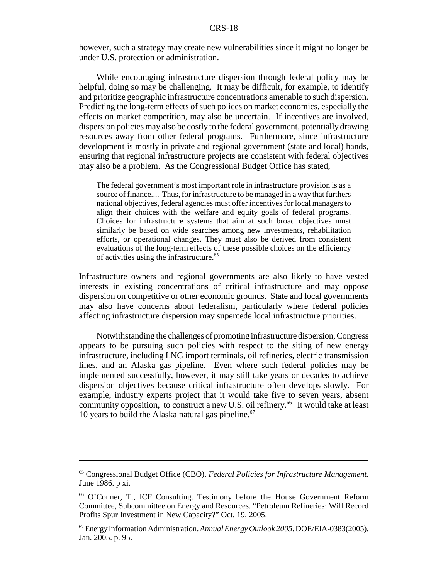however, such a strategy may create new vulnerabilities since it might no longer be under U.S. protection or administration.

While encouraging infrastructure dispersion through federal policy may be helpful, doing so may be challenging. It may be difficult, for example, to identify and prioritize geographic infrastructure concentrations amenable to such dispersion. Predicting the long-term effects of such polices on market economics, especially the effects on market competition, may also be uncertain. If incentives are involved, dispersion policies may also be costly to the federal government, potentially drawing resources away from other federal programs. Furthermore, since infrastructure development is mostly in private and regional government (state and local) hands, ensuring that regional infrastructure projects are consistent with federal objectives may also be a problem. As the Congressional Budget Office has stated,

The federal government's most important role in infrastructure provision is as a source of finance.... Thus, for infrastructure to be managed in a way that furthers national objectives, federal agencies must offer incentives for local managers to align their choices with the welfare and equity goals of federal programs. Choices for infrastructure systems that aim at such broad objectives must similarly be based on wide searches among new investments, rehabilitation efforts, or operational changes. They must also be derived from consistent evaluations of the long-term effects of these possible choices on the efficiency of activities using the infrastructure.<sup>65</sup>

Infrastructure owners and regional governments are also likely to have vested interests in existing concentrations of critical infrastructure and may oppose dispersion on competitive or other economic grounds. State and local governments may also have concerns about federalism, particularly where federal policies affecting infrastructure dispersion may supercede local infrastructure priorities.

Notwithstanding the challenges of promoting infrastructure dispersion, Congress appears to be pursuing such policies with respect to the siting of new energy infrastructure, including LNG import terminals, oil refineries, electric transmission lines, and an Alaska gas pipeline. Even where such federal policies may be implemented successfully, however, it may still take years or decades to achieve dispersion objectives because critical infrastructure often develops slowly. For example, industry experts project that it would take five to seven years, absent community opposition, to construct a new U.S. oil refinery.<sup>66</sup> It would take at least 10 years to build the Alaska natural gas pipeline. $67$ 

<sup>65</sup> Congressional Budget Office (CBO). *Federal Policies for Infrastructure Management*. June 1986. p xi.

<sup>66</sup> O'Conner, T., ICF Consulting. Testimony before the House Government Reform Committee, Subcommittee on Energy and Resources. "Petroleum Refineries: Will Record Profits Spur Investment in New Capacity?" Oct. 19, 2005.

<sup>67</sup> Energy Information Administration. *Annual Energy Outlook 2005*. DOE/EIA-0383(2005). Jan. 2005. p. 95.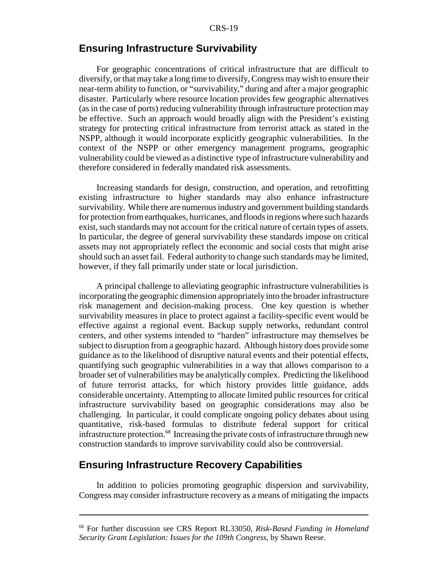## **Ensuring Infrastructure Survivability**

For geographic concentrations of critical infrastructure that are difficult to diversify, or that may take a long time to diversify, Congress may wish to ensure their near-term ability to function, or "survivability," during and after a major geographic disaster. Particularly where resource location provides few geographic alternatives (as in the case of ports) reducing vulnerability through infrastructure protection may be effective. Such an approach would broadly align with the President's existing strategy for protecting critical infrastructure from terrorist attack as stated in the NSPP, although it would incorporate explicitly geographic vulnerabilities. In the context of the NSPP or other emergency management programs, geographic vulnerability could be viewed as a distinctive type of infrastructure vulnerability and therefore considered in federally mandated risk assessments.

Increasing standards for design, construction, and operation, and retrofitting existing infrastructure to higher standards may also enhance infrastructure survivability. While there are numerous industry and government building standards for protection from earthquakes, hurricanes, and floods in regions where such hazards exist, such standards may not account for the critical nature of certain types of assets. In particular, the degree of general survivability these standards impose on critical assets may not appropriately reflect the economic and social costs that might arise should such an asset fail. Federal authority to change such standards may be limited, however, if they fall primarily under state or local jurisdiction.

A principal challenge to alleviating geographic infrastructure vulnerabilities is incorporating the geographic dimension appropriately into the broader infrastructure risk management and decision-making process. One key question is whether survivability measures in place to protect against a facility-specific event would be effective against a regional event. Backup supply networks, redundant control centers, and other systems intended to "harden" infrastructure may themselves be subject to disruption from a geographic hazard. Although history does provide some guidance as to the likelihood of disruptive natural events and their potential effects, quantifying such geographic vulnerabilities in a way that allows comparison to a broader set of vulnerabilities may be analytically complex. Predicting the likelihood of future terrorist attacks, for which history provides little guidance, adds considerable uncertainty. Attempting to allocate limited public resources for critical infrastructure survivability based on geographic considerations may also be challenging. In particular, it could complicate ongoing policy debates about using quantitative, risk-based formulas to distribute federal support for critical infrastructure protection.<sup>68</sup> Increasing the private costs of infrastructure through new construction standards to improve survivability could also be controversial.

## **Ensuring Infrastructure Recovery Capabilities**

In addition to policies promoting geographic dispersion and survivability, Congress may consider infrastructure recovery as a means of mitigating the impacts

<sup>68</sup> For further discussion see CRS Report RL33050, *Risk-Based Funding in Homeland Security Grant Legislation: Issues for the 109th Congress*, by Shawn Reese.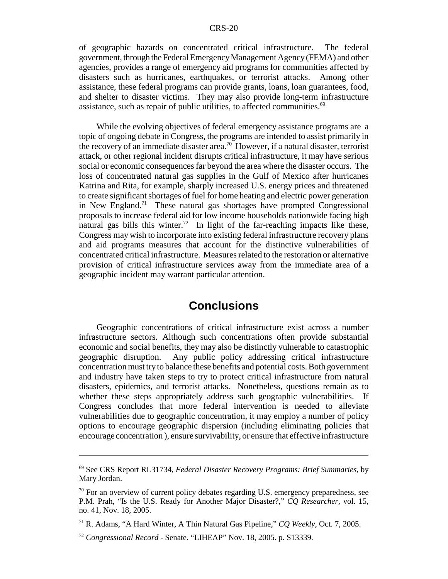of geographic hazards on concentrated critical infrastructure. The federal government, through the Federal Emergency Management Agency (FEMA) and other agencies, provides a range of emergency aid programs for communities affected by disasters such as hurricanes, earthquakes, or terrorist attacks. Among other assistance, these federal programs can provide grants, loans, loan guarantees, food, and shelter to disaster victims. They may also provide long-term infrastructure assistance, such as repair of public utilities, to affected communities. $69$ 

While the evolving objectives of federal emergency assistance programs are a topic of ongoing debate in Congress, the programs are intended to assist primarily in the recovery of an immediate disaster area.<sup>70</sup> However, if a natural disaster, terrorist attack, or other regional incident disrupts critical infrastructure, it may have serious social or economic consequences far beyond the area where the disaster occurs. The loss of concentrated natural gas supplies in the Gulf of Mexico after hurricanes Katrina and Rita, for example, sharply increased U.S. energy prices and threatened to create significant shortages of fuel for home heating and electric power generation in New England.71 These natural gas shortages have prompted Congressional proposals to increase federal aid for low income households nationwide facing high natural gas bills this winter.<sup>72</sup> In light of the far-reaching impacts like these, Congress may wish to incorporate into existing federal infrastructure recovery plans and aid programs measures that account for the distinctive vulnerabilities of concentrated critical infrastructure. Measures related to the restoration or alternative provision of critical infrastructure services away from the immediate area of a geographic incident may warrant particular attention.

## **Conclusions**

Geographic concentrations of critical infrastructure exist across a number infrastructure sectors. Although such concentrations often provide substantial economic and social benefits, they may also be distinctly vulnerable to catastrophic geographic disruption. Any public policy addressing critical infrastructure concentration must try to balance these benefits and potential costs. Both government and industry have taken steps to try to protect critical infrastructure from natural disasters, epidemics, and terrorist attacks. Nonetheless, questions remain as to whether these steps appropriately address such geographic vulnerabilities. If Congress concludes that more federal intervention is needed to alleviate vulnerabilities due to geographic concentration, it may employ a number of policy options to encourage geographic dispersion (including eliminating policies that encourage concentration ), ensure survivability, or ensure that effective infrastructure

<sup>69</sup> See CRS Report RL31734, *Federal Disaster Recovery Programs: Brief Summaries*, by Mary Jordan.

 $70$  For an overview of current policy debates regarding U.S. emergency preparedness, see P.M. Prah, "Is the U.S. Ready for Another Major Disaster?," *CQ Researcher*, vol. 15, no. 41, Nov. 18, 2005.

<sup>71</sup> R. Adams, "A Hard Winter, A Thin Natural Gas Pipeline," *CQ Weekly*, Oct. 7, 2005.

<sup>72</sup> *Congressional Record* - Senate. "LIHEAP" Nov. 18, 2005. p. S13339.